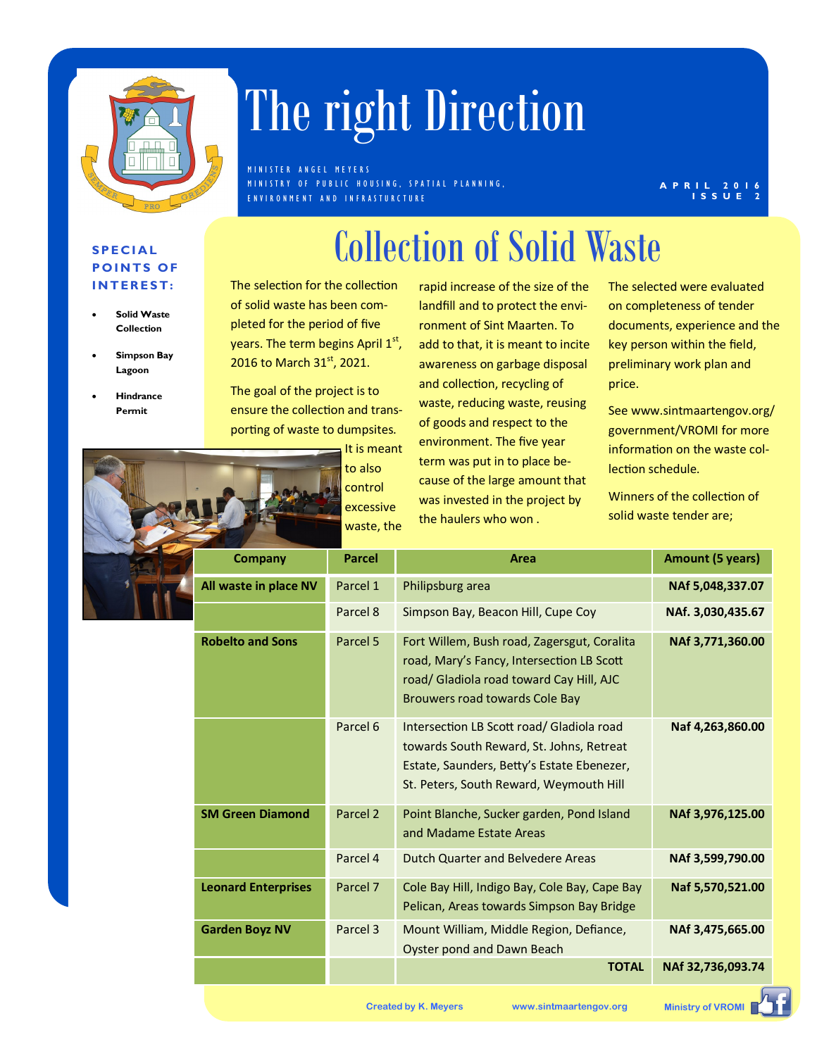

## The right Direction

M IN ISTER ANGEL MEYERS M IN ISTRY OF PUBLIC HOUSING, SPATIAL PLANNING, E N V I R O N M E N T A N D I N F R A S T U R C T U R E

#### **2** 0 1 **I S S U E 2**

### **S P E C I A L POINTS OF I N T E R E S T :**

- **Solid Waste Collection**
- **Simpson Bay Lagoon**
- **Hindrance Permit**

The selection for the collection of solid waste has been completed for the period of five years. The term begins April 1st, 2016 to March 31<sup>st</sup>, 2021.

The goal of the project is to ensure the collection and transporting of waste to dumpsites.

> It is meant to also control excessive waste, the

rapid increase of the size of the landfill and to protect the environment of Sint Maarten. To add to that, it is meant to incite awareness on garbage disposal and collection, recycling of waste, reducing waste, reusing of goods and respect to the environment. The five year term was put in to place because of the large amount that was invested in the project by the haulers who won .

Collection of Solid Waste

The selected were evaluated on completeness of tender documents, experience and the key person within the field, preliminary work plan and price.

See www.sintmaartengov.org/ government/VROMI for more information on the waste collection schedule.

Winners of the collection of solid waste tender are;

| <b>Company</b>             | <b>Parcel</b>       | Area                                                                                                                                                                           | <b>Amount (5 years)</b> |
|----------------------------|---------------------|--------------------------------------------------------------------------------------------------------------------------------------------------------------------------------|-------------------------|
| All waste in place NV      | Parcel 1            | Philipsburg area                                                                                                                                                               | NAf 5,048,337.07        |
|                            | Parcel 8            | Simpson Bay, Beacon Hill, Cupe Coy                                                                                                                                             | NAf. 3,030,435.67       |
| <b>Robelto and Sons</b>    | Parcel 5            | Fort Willem, Bush road, Zagersgut, Coralita<br>road, Mary's Fancy, Intersection LB Scott<br>road/ Gladiola road toward Cay Hill, AJC<br><b>Brouwers road towards Cole Bay</b>  | NAf 3,771,360.00        |
|                            | Parcel 6            | Intersection LB Scott road/ Gladiola road<br>towards South Reward, St. Johns, Retreat<br>Estate, Saunders, Betty's Estate Ebenezer,<br>St. Peters, South Reward, Weymouth Hill | Naf 4,263,860.00        |
| <b>SM Green Diamond</b>    | Parcel <sub>2</sub> | Point Blanche, Sucker garden, Pond Island<br>and Madame Estate Areas                                                                                                           | NAf 3,976,125.00        |
|                            | Parcel 4            | <b>Dutch Quarter and Belvedere Areas</b>                                                                                                                                       | NAf 3,599,790.00        |
| <b>Leonard Enterprises</b> | Parcel 7            | Cole Bay Hill, Indigo Bay, Cole Bay, Cape Bay<br>Pelican, Areas towards Simpson Bay Bridge                                                                                     | Naf 5,570,521.00        |
| <b>Garden Boyz NV</b>      | Parcel 3            | Mount William, Middle Region, Defiance,<br>Oyster pond and Dawn Beach                                                                                                          | NAf 3,475,665.00        |
|                            |                     | <b>TOTAL</b>                                                                                                                                                                   | NAf 32,736,093.74       |

**Created by K. Meyers www.sintmaartengov.org Ministry of VROMI**